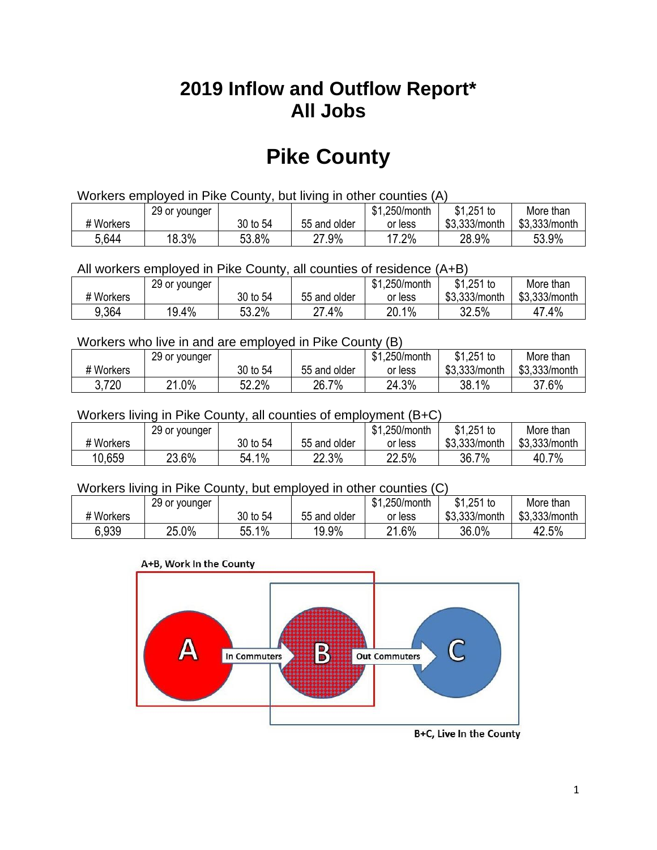## **2019 Inflow and Outflow Report\* All Jobs**

# **Pike County**

| Workers employed in Pike County, but living in other counties (A) |                                                            |          |              |         |               |               |  |  |  |
|-------------------------------------------------------------------|------------------------------------------------------------|----------|--------------|---------|---------------|---------------|--|--|--|
|                                                                   | $$1,251$ to<br>\$1,250/month<br>29 or younger<br>More than |          |              |         |               |               |  |  |  |
| # Workers                                                         |                                                            | 30 to 54 | 55 and older | or less | \$3,333/month | \$3,333/month |  |  |  |
| 5,644                                                             | 18.3%                                                      | 53.8%    | 27.9%        | 17.2%   | 28.9%         | 53.9%         |  |  |  |

All workers employed in Pike County, all counties of residence (A+B)

|           | 29 or younger |          |              | \$1,250/month | $$1,251$ to   | More than     |
|-----------|---------------|----------|--------------|---------------|---------------|---------------|
| # Workers |               | 30 to 54 | 55 and older | or less       | \$3,333/month | \$3,333/month |
| 9,364     | 19.4%         | 53.2%    | .4%<br>ົາ    | 20.1%         | 32.5%         | .4%           |

#### Workers who live in and are employed in Pike County (B)

|           | 29 or younger       |          |              | \$1,250/month | $$1,251$ to   | More than     |
|-----------|---------------------|----------|--------------|---------------|---------------|---------------|
| # Workers |                     | 30 to 54 | 55 and older | or less       | \$3,333/month | \$3,333/month |
| 3,720     | $.0\%$<br><b>04</b> | 52.2%    | 26.7%        | 24.3%         | 38.1%         | 37.6%         |

#### Workers living in Pike County, all counties of employment (B+C)

|           | 29 or younger |          |              | \$1,250/month | \$1,251 to    | More than     |
|-----------|---------------|----------|--------------|---------------|---------------|---------------|
| # Workers |               | 30 to 54 | 55 and older | or less       | \$3,333/month | \$3,333/month |
| 10.659    | 23.6%         | 54.1%    | 22.3%        | 22.5%         | 36.7%         | 40.7%         |

#### Workers living in Pike County, but employed in other counties (C)

|           | 29 or younger |               |              | \$1,250/month | $$1,251$ to   | More than     |
|-----------|---------------|---------------|--------------|---------------|---------------|---------------|
| # Workers |               | 30 to 54      | 55 and older | or less       | \$3,333/month | \$3,333/month |
| 6.939     | 25.0%         | $1\%$<br>55.1 | 19.9%        | 21.6%         | 36.0%         | 42.5%         |

#### A+B, Work In the County